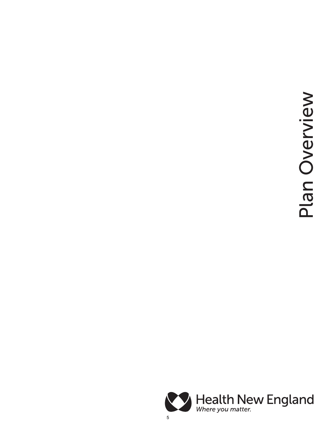Plan Overview Plan Overview

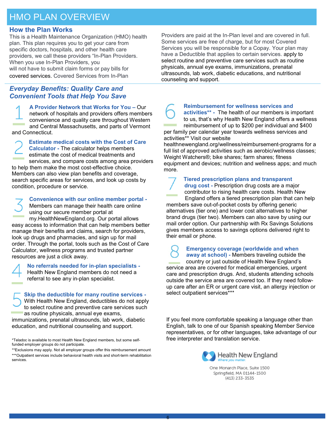# HMO PLAN OVERVIEW

#### **How the Plan Works**

This is a Health Maintenance Organization (HMO) health plan. This plan requires you to get your care from specific doctors, hospitals, and other health care providers, we call these providers "In-Plan Providers. When you use In-Plan Providers, you will not have to submit claim forms or pay bills for covered services. Covered Services from In-Plan

### *Everyday Benefits: Quality Care and Convenient Tools that Help You Save*

**A Provider Network that Works for You –** Our network of hospitals and providers offers members convenience and quality care throughout Western and Central Massachusetts, and parts of Vermont and Connecticut.

**Estimate medical costs with the Cost of Care Calculator -** The calculator helps members estimate the cost of medical treatments and services, and compare costs among area providers to help them make the most cost-effective choice. Members can also view plan benefits and coverage, search specific areas for services, and look up costs by condition, procedure or service.

**Convenience with our online member portal -** Members can manage their health care online using our secure member portal at my.HealthNewEngland.org. Our portal allows easy access to information that can help members better manage their benefits and claims, search for providers, look up drugs and pharmacies, and sign up for mail order. Through the portal, tools such as the Cost of Care Calculator, wellness programs and trusted partner resources are just a click away.

> **No referrals needed for in-plan specialists -** Health New England members do not need a referral to see any in-plan specialist.

**Skip the deductible for many routine services -** With Health New England, deductibles do not apply to select routine and preventive care services such as routine physicals, annual eye exams, immunizations, prenatal ultrasounds, lab work, diabetic education, and nutritional counseling and support.

\*Teladoc is available to most Health New England members, but some selffunded employer groups do not participate.

Providers are paid at the In-Plan level and are covered in full. Some services are free of charge, but for most Covered Services you will be responsible for a Copay. Your plan may have a Deductible that applies to certain services. apply to select routine and preventive care services such as routine physicals, annual eye exams, immunizations, prenatal ultrasounds, lab work, diabetic educations, and nutritional counseling and support.



**activities\*\* -** The health of our members is important to us, that's why Health New England offers a wellness reimbursement of up to \$200 per individual and \$400 per family per calendar year towards wellness services and

activities\*\* Visit our website

healthnewengland.org/wellness/reimbursement-programs for a full list of approved activities such as aerobic/wellness classes; Weight Watchers®; bike shares; farm shares; fitness equipment and devices; nutrition and wellness apps; and much more.

**Tiered prescription plans and transparent drug cost -** Prescription drug costs are a major contributor to rising health care costs. Health New England offers a tiered prescription plan that can help members save out-of-pocket costs by offering generic alternatives (tier one) and lower cost alternatives to higher brand drugs (tier two). Members can also save by using our mail order option. Our partnership with Rx Savings Solutions gives members access to savings options delivered right to their email or phone.

 **Emergency coverage (worldwide and when away at school) -** Members traveling outside the country or just outside of Health New England's service area are covered for medical emergencies, urgent care and prescription drugs. And, students attending schools outside the service area are covered too. If they need followup care after an ER or urgent care visit, an allergy injection or select outpatient services\*\*\*

If you feel more comfortable speaking a language other than English, talk to one of our Spanish speaking Member Service representatives, or for other languages, take advantage of our free interpreter and translation service.



One Monarch Place, Suite 1500 Springfield, MA 01144-1500 (413) 233-3535

<sup>\*\*</sup>Exclusions may apply. Not all employer groups offer this reimbursement amount \*\*\*Outpatient services include behavioral health visits and short-term rehabilitation services.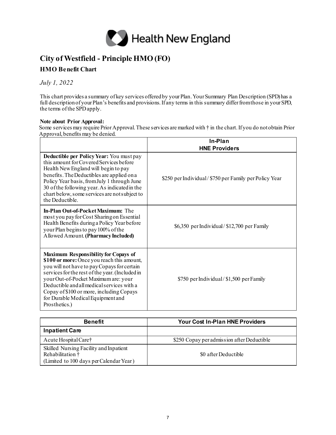

## **City of Westfield - Principle HMO (FO)**

### **HMO Benefit Chart**

*July 1, 2022* 

This chart provides a summary of key services offered by your Plan. Your Summary Plan Description (SPD) has a full description of your Plan's benefits and provisions. If any terms in this summary differ from those in your SPD, the terms of the SPDapply.

#### **Note about Prior Approval:**

Some services may require Prior Approval. These services are marked with † in the chart. If you do not obtain Prior Approval, benefits may be denied.

|                                                                                                                                                                                                                                                                                                                                                                              | In-Plan<br><b>HNE Providers</b>                       |
|------------------------------------------------------------------------------------------------------------------------------------------------------------------------------------------------------------------------------------------------------------------------------------------------------------------------------------------------------------------------------|-------------------------------------------------------|
| Deductible per Policy Year: You must pay<br>this amount for Covered Services before<br>Health New England will begin to pay<br>benefits. The Deductibles are applied on a<br>Policy Year basis, from July 1 through June<br>30 of the following year. As indicated in the<br>chart below, some services are not subject to<br>the Deductible.                                | \$250 per Individual/\$750 per Family per Policy Year |
| <b>In-Plan Out-of-Pocket Maximum:</b> The<br>most you pay for Cost Sharing on Essential<br>Health Benefits during a Policy Year before<br>your Plan begins to pay 100% of the<br>Allowed Amount. (Pharmacy Included)                                                                                                                                                         | \$6,350 per Individual/\$12,700 per Family            |
| Maximum Responsibility for Copays of<br>\$100 or more: Once you reach this amount,<br>you will not have to pay Copays for certain<br>services for the rest of the year. (Included in<br>your Out-of-Pocket Maximum are: your<br>Deductible and all medical services with a<br>Copay of \$100 or more, including Copays<br>for Durable Medical Equipment and<br>Prosthetics.) | \$750 per Individual/\$1,500 per Family               |

| <b>Benefit</b>                                                                                        | <b>Your Cost In-Plan HNE Providers</b>     |
|-------------------------------------------------------------------------------------------------------|--------------------------------------------|
| <b>Inpatient Care</b>                                                                                 |                                            |
| Acute Hospital Care†                                                                                  | \$250 Copay per admission after Deductible |
| Skilled Nursing Facility and Inpatient<br>Rehabilitation †<br>(Limited to 100 days per Calendar Year) | \$0 after Deductible                       |